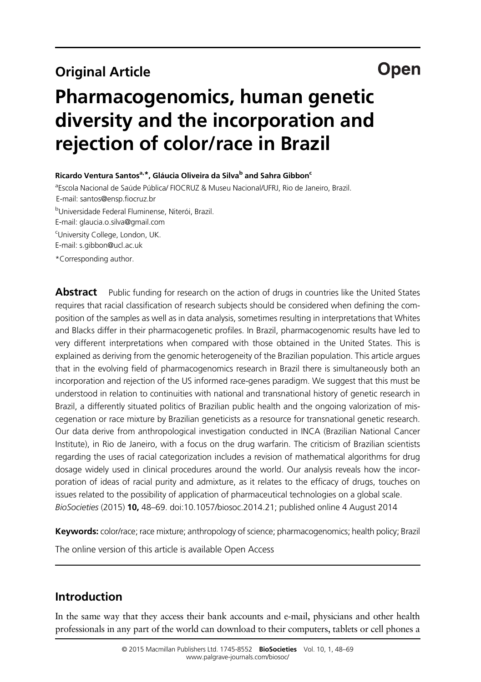# Original Article

# Pharmacogenomics, human genetic diversity and the incorporation and rejection of color/race in Brazil

#### Ricardo Ventura Santos<sup>a,\*</sup>, Gláucia Oliveira da Silva<sup>b</sup> and Sahra Gibbon<sup>c</sup>

a Escola Nacional de Saúde Pública/ FIOCRUZ & Museu Nacional/UFRJ, Rio de Janeiro, Brazil. E-mail: santos@ensp.fiocruz.br <sup>b</sup>Universidade Federal Fluminense, Niterói, Brazil. E-mail: glaucia.o.silva@gmail.com CUniversity College, London, UK. E-mail: s.gibbon@ucl.ac.uk \*Corresponding author.

Abstract Public funding for research on the action of drugs in countries like the United States requires that racial classification of research subjects should be considered when defining the composition of the samples as well as in data analysis, sometimes resulting in interpretations that Whites and Blacks differ in their pharmacogenetic profiles. In Brazil, pharmacogenomic results have led to very different interpretations when compared with those obtained in the United States. This is explained as deriving from the genomic heterogeneity of the Brazilian population. This article argues that in the evolving field of pharmacogenomics research in Brazil there is simultaneously both an incorporation and rejection of the US informed race-genes paradigm. We suggest that this must be understood in relation to continuities with national and transnational history of genetic research in Brazil, a differently situated politics of Brazilian public health and the ongoing valorization of miscegenation or race mixture by Brazilian geneticists as a resource for transnational genetic research. Our data derive from anthropological investigation conducted in INCA (Brazilian National Cancer Institute), in Rio de Janeiro, with a focus on the drug warfarin. The criticism of Brazilian scientists regarding the uses of racial categorization includes a revision of mathematical algorithms for drug dosage widely used in clinical procedures around the world. Our analysis reveals how the incorporation of ideas of racial purity and admixture, as it relates to the efficacy of drugs, touches on issues related to the possibility of application of pharmaceutical technologies on a global scale. BioSocieties (2015) 10, 48–69. doi[:10.1057/biosoc.2014.21;](http://dx.doi.org/10.1057/biosoc.2014.21) published online 4 August 2014

Keywords: color/race; race mixture; anthropology of science; pharmacogenomics; health policy; Brazil The online version of this article is available Open Access

# Introduction

In the same way that they access their bank accounts and e-mail, physicians and other health professionals in any part of the world can download to their computers, tablets or cell phones a

# Open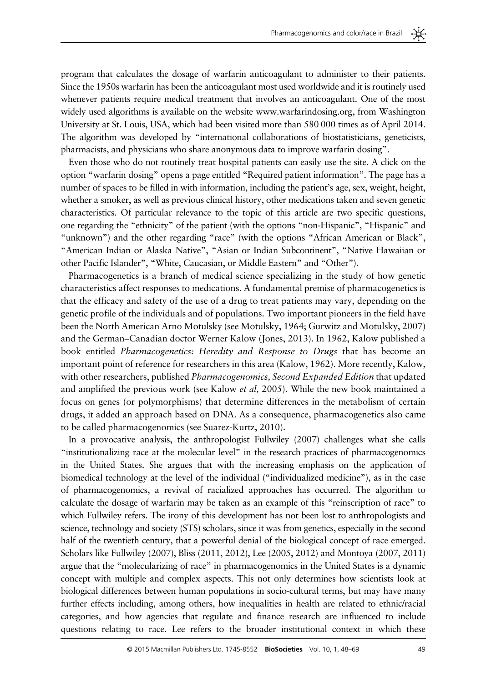program that calculates the dosage of warfarin anticoagulant to administer to their patients. Since the 1950s warfarin has been the anticoagulant most used worldwide and it is routinely used whenever patients require medical treatment that involves an anticoagulant. One of the most widely used algorithms is available on the website<www.warfarindosing.org>, from Washington University at St. Louis, USA, which had been visited more than 580 000 times as of April 2014. The algorithm was developed by "international collaborations of biostatisticians, geneticists, pharmacists, and physicians who share anonymous data to improve warfarin dosing".

Even those who do not routinely treat hospital patients can easily use the site. A click on the option "warfarin dosing" opens a page entitled "Required patient information". The page has a number of spaces to be filled in with information, including the patient's age, sex, weight, height, whether a smoker, as well as previous clinical history, other medications taken and seven genetic characteristics. Of particular relevance to the topic of this article are two specific questions, one regarding the "ethnicity" of the patient (with the options "non-Hispanic", "Hispanic" and "unknown") and the other regarding "race" (with the options "African American or Black", "American Indian or Alaska Native", "Asian or Indian Subcontinent", "Native Hawaiian or other Pacific Islander", "White, Caucasian, or Middle Eastern" and "Other").

Pharmacogenetics is a branch of medical science specializing in the study of how genetic characteristics affect responses to medications. A fundamental premise of pharmacogenetics is that the efficacy and safety of the use of a drug to treat patients may vary, depending on the genetic profile of the individuals and of populations. Two important pioneers in the field have been the North American Arno Motulsky (see [Motulsky, 1964;](#page-20-0) [Gurwitz and Motulsky, 2007](#page-19-0)) and the German–Canadian doctor Werner Kalow [\(Jones, 2013](#page-19-0)). In 1962, Kalow published a book entitled Pharmacogenetics: Heredity and Response to Drugs that has become an important point of reference for researchers in this area ([Kalow, 1962\)](#page-19-0). More recently, Kalow, with other researchers, published Pharmacogenomics, Second Expanded Edition that updated and amplified the previous work (see [Kalow](#page-19-0) *et al*, 2005). While the new book maintained a focus on genes (or polymorphisms) that determine differences in the metabolism of certain drugs, it added an approach based on DNA. As a consequence, pharmacogenetics also came to be called pharmacogenomics (see [Suarez-Kurtz, 2010](#page-21-0)).

In a provocative analysis, the anthropologist [Fullwiley \(2007\)](#page-19-0) challenges what she calls "institutionalizing race at the molecular level" in the research practices of pharmacogenomics in the United States. She argues that with the increasing emphasis on the application of biomedical technology at the level of the individual ("individualized medicine"), as in the case of pharmacogenomics, a revival of racialized approaches has occurred. The algorithm to calculate the dosage of warfarin may be taken as an example of this "reinscription of race" to which Fullwiley refers. The irony of this development has not been lost to anthropologists and science, technology and society (STS) scholars, since it was from genetics, especially in the second half of the twentieth century, that a powerful denial of the biological concept of race emerged. Scholars like [Fullwiley \(2007\)](#page-19-0), [Bliss \(2011, 2012\)](#page-19-0), [Lee \(2005, 2012\)](#page-19-0) and [Montoya \(2007, 2011\)](#page-20-0) argue that the "molecularizing of race" in pharmacogenomics in the United States is a dynamic concept with multiple and complex aspects. This not only determines how scientists look at biological differences between human populations in socio-cultural terms, but may have many further effects including, among others, how inequalities in health are related to ethnic/racial categories, and how agencies that regulate and finance research are influenced to include questions relating to race. Lee refers to the broader institutional context in which these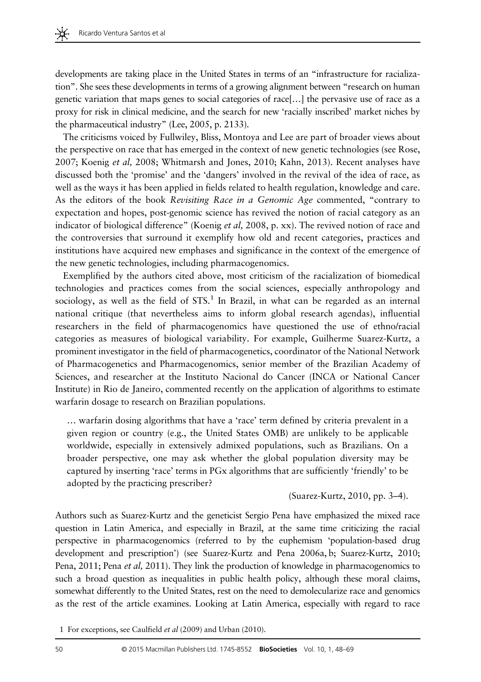developments are taking place in the United States in terms of an "infrastructure for racialization". She sees these developments in terms of a growing alignment between "research on human genetic variation that maps genes to social categories of race[…] the pervasive use of race as a proxy for risk in clinical medicine, and the search for new 'racially inscribed' market niches by the pharmaceutical industry" [\(Lee, 2005,](#page-19-0) p. 2133).

The criticisms voiced by Fullwiley, Bliss, Montoya and Lee are part of broader views about the perspective on race that has emerged in the context of new genetic technologies (see [Rose,](#page-20-0) [2007;](#page-20-0) [Koenig](#page-19-0) et al, 2008; [Whitmarsh and Jones, 2010](#page-21-0); [Kahn, 2013\)](#page-19-0). Recent analyses have discussed both the 'promise' and the 'dangers' involved in the revival of the idea of race, as well as the ways it has been applied in fields related to health regulation, knowledge and care. As the editors of the book Revisiting Race in a Genomic Age commented, "contrary to expectation and hopes, post-genomic science has revived the notion of racial category as an indicator of biological difference" ([Koenig](#page-19-0) et al, 2008, p. xx). The revived notion of race and the controversies that surround it exemplify how old and recent categories, practices and institutions have acquired new emphases and significance in the context of the emergence of the new genetic technologies, including pharmacogenomics.

Exemplified by the authors cited above, most criticism of the racialization of biomedical technologies and practices comes from the social sciences, especially anthropology and sociology, as well as the field of  $STS<sup>1</sup>$ . In Brazil, in what can be regarded as an internal national critique (that nevertheless aims to inform global research agendas), influential researchers in the field of pharmacogenomics have questioned the use of ethno/racial categories as measures of biological variability. For example, Guilherme Suarez-Kurtz, a prominent investigator in the field of pharmacogenetics, coordinator of the National Network of Pharmacogenetics and Pharmacogenomics, senior member of the Brazilian Academy of Sciences, and researcher at the Instituto Nacional do Cancer (INCA or National Cancer Institute) in Rio de Janeiro, commented recently on the application of algorithms to estimate warfarin dosage to research on Brazilian populations.

… warfarin dosing algorithms that have a 'race' term defined by criteria prevalent in a given region or country (e.g., the United States OMB) are unlikely to be applicable worldwide, especially in extensively admixed populations, such as Brazilians. On a broader perspective, one may ask whether the global population diversity may be captured by inserting 'race' terms in PGx algorithms that are sufficiently 'friendly' to be adopted by the practicing prescriber?

[\(Suarez-Kurtz, 2010,](#page-21-0) pp. 3–4).

Authors such as Suarez-Kurtz and the geneticist Sergio Pena have emphasized the mixed race question in Latin America, and especially in Brazil, at the same time criticizing the racial perspective in pharmacogenomics (referred to by the euphemism 'population-based drug development and prescription') (see [Suarez-Kurtz and Pena 2006a, b](#page-21-0); [Suarez-Kurtz, 2010](#page-21-0); [Pena, 2011;](#page-20-0) Pena et al, [2011](#page-20-0)). They link the production of knowledge in pharmacogenomics to such a broad question as inequalities in public health policy, although these moral claims, somewhat differently to the United States, rest on the need to demolecularize race and genomics as the rest of the article examines. Looking at Latin America, especially with regard to race

1 For exceptions, see [Caulfield](#page-19-0) et al (2009) and [Urban \(2010\).](#page-21-0)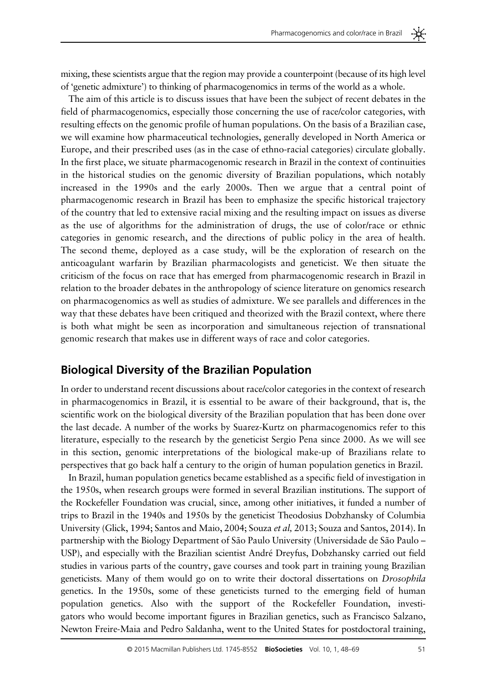mixing, these scientists argue that the region may provide a counterpoint (because of its high level of 'genetic admixture') to thinking of pharmacogenomics in terms of the world as a whole.

The aim of this article is to discuss issues that have been the subject of recent debates in the field of pharmacogenomics, especially those concerning the use of race/color categories, with resulting effects on the genomic profile of human populations. On the basis of a Brazilian case, we will examine how pharmaceutical technologies, generally developed in North America or Europe, and their prescribed uses (as in the case of ethno-racial categories) circulate globally. In the first place, we situate pharmacogenomic research in Brazil in the context of continuities in the historical studies on the genomic diversity of Brazilian populations, which notably increased in the 1990s and the early 2000s. Then we argue that a central point of pharmacogenomic research in Brazil has been to emphasize the specific historical trajectory of the country that led to extensive racial mixing and the resulting impact on issues as diverse as the use of algorithms for the administration of drugs, the use of color/race or ethnic categories in genomic research, and the directions of public policy in the area of health. The second theme, deployed as a case study, will be the exploration of research on the anticoagulant warfarin by Brazilian pharmacologists and geneticist. We then situate the criticism of the focus on race that has emerged from pharmacogenomic research in Brazil in relation to the broader debates in the anthropology of science literature on genomics research on pharmacogenomics as well as studies of admixture. We see parallels and differences in the way that these debates have been critiqued and theorized with the Brazil context, where there is both what might be seen as incorporation and simultaneous rejection of transnational genomic research that makes use in different ways of race and color categories.

## Biological Diversity of the Brazilian Population

In order to understand recent discussions about race/color categories in the context of research in pharmacogenomics in Brazil, it is essential to be aware of their background, that is, the scientific work on the biological diversity of the Brazilian population that has been done over the last decade. A number of the works by Suarez-Kurtz on pharmacogenomics refer to this literature, especially to the research by the geneticist Sergio Pena since 2000. As we will see in this section, genomic interpretations of the biological make-up of Brazilians relate to perspectives that go back half a century to the origin of human population genetics in Brazil.

In Brazil, human population genetics became established as a specific field of investigation in the 1950s, when research groups were formed in several Brazilian institutions. The support of the Rockefeller Foundation was crucial, since, among other initiatives, it funded a number of trips to Brazil in the 1940s and 1950s by the geneticist Theodosius Dobzhansky of Columbia University ([Glick, 1994](#page-19-0); [Santos and Maio, 2004;](#page-20-0) [Souza](#page-21-0) *et al*, 2013; [Souza and Santos, 2014\)](#page-21-0). In partnership with the Biology Department of São Paulo University (Universidade de São Paulo – USP), and especially with the Brazilian scientist André Dreyfus, Dobzhansky carried out field studies in various parts of the country, gave courses and took part in training young Brazilian geneticists. Many of them would go on to write their doctoral dissertations on Drosophila genetics. In the 1950s, some of these geneticists turned to the emerging field of human population genetics. Also with the support of the Rockefeller Foundation, investigators who would become important figures in Brazilian genetics, such as Francisco Salzano, Newton Freire-Maia and Pedro Saldanha, went to the United States for postdoctoral training,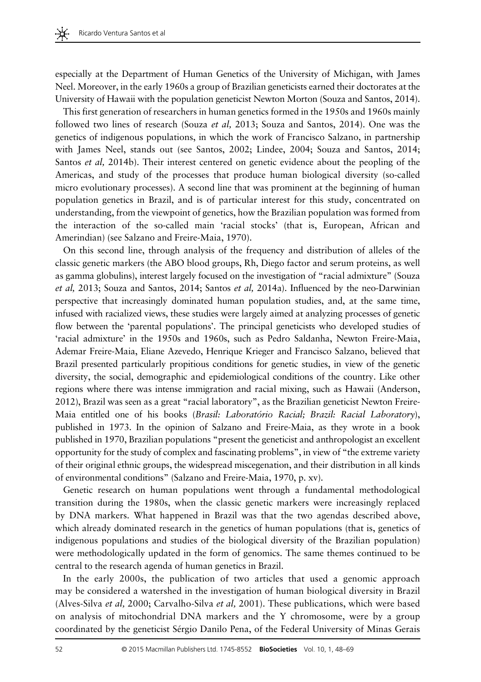especially at the Department of Human Genetics of the University of Michigan, with James Neel. Moreover, in the early 1960s a group of Brazilian geneticists earned their doctorates at the University of Hawaii with the population geneticist Newton Morton ([Souza and Santos, 2014](#page-21-0)).

This first generation of researchers in human genetics formed in the 1950s and 1960s mainly followed two lines of research ([Souza](#page-21-0) *et al*, 2013; [Souza and Santos, 2014\)](#page-21-0). One was the genetics of indigenous populations, in which the work of Francisco Salzano, in partnership with James Neel, stands out (see [Santos, 2002](#page-20-0); [Lindee, 2004](#page-20-0); [Souza and Santos, 2014](#page-21-0); [Santos](#page-21-0) et al, 2014b). Their interest centered on genetic evidence about the peopling of the Americas, and study of the processes that produce human biological diversity (so-called micro evolutionary processes). A second line that was prominent at the beginning of human population genetics in Brazil, and is of particular interest for this study, concentrated on understanding, from the viewpoint of genetics, how the Brazilian population was formed from the interaction of the so-called main 'racial stocks' (that is, European, African and Amerindian) (see [Salzano and Freire-Maia, 1970\)](#page-20-0).

On this second line, through analysis of the frequency and distribution of alleles of the classic genetic markers (the ABO blood groups, Rh, Diego factor and serum proteins, as well as gamma globulins), interest largely focused on the investigation of "racial admixture" [\(Souza](#page-21-0) et al, [2013; Souza and Santos, 2014;](#page-21-0) [Santos](#page-20-0) et al, 2014a). Influenced by the neo-Darwinian perspective that increasingly dominated human population studies, and, at the same time, infused with racialized views, these studies were largely aimed at analyzing processes of genetic flow between the 'parental populations'. The principal geneticists who developed studies of 'racial admixture' in the 1950s and 1960s, such as Pedro Saldanha, Newton Freire-Maia, Ademar Freire-Maia, Eliane Azevedo, Henrique Krieger and Francisco Salzano, believed that Brazil presented particularly propitious conditions for genetic studies, in view of the genetic diversity, the social, demographic and epidemiological conditions of the country. Like other regions where there was intense immigration and racial mixing, such as Hawaii [\(Anderson,](#page-18-0) [2012](#page-18-0)), Brazil was seen as a great "racial laboratory", as the Brazilian geneticist Newton Freire-Maia entitled one of his books (Brasil: Laboratório Racial; Brazil: Racial Laboratory), published in 1973. In the opinion of Salzano and Freire-Maia, as they wrote in a book published in 1970, Brazilian populations "present the geneticist and anthropologist an excellent opportunity for the study of complex and fascinating problems", in view of "the extreme variety of their original ethnic groups, the widespread miscegenation, and their distribution in all kinds of environmental conditions" [\(Salzano and Freire-Maia, 1970](#page-20-0), p. xv).

Genetic research on human populations went through a fundamental methodological transition during the 1980s, when the classic genetic markers were increasingly replaced by DNA markers. What happened in Brazil was that the two agendas described above, which already dominated research in the genetics of human populations (that is, genetics of indigenous populations and studies of the biological diversity of the Brazilian population) were methodologically updated in the form of genomics. The same themes continued to be central to the research agenda of human genetics in Brazil.

In the early 2000s, the publication of two articles that used a genomic approach may be considered a watershed in the investigation of human biological diversity in Brazil ([Alves-Silva](#page-18-0) et al, 2000; [Carvalho-Silva](#page-19-0) et al, 2001). These publications, which were based on analysis of mitochondrial DNA markers and the Y chromosome, were by a group coordinated by the geneticist Sérgio Danilo Pena, of the Federal University of Minas Gerais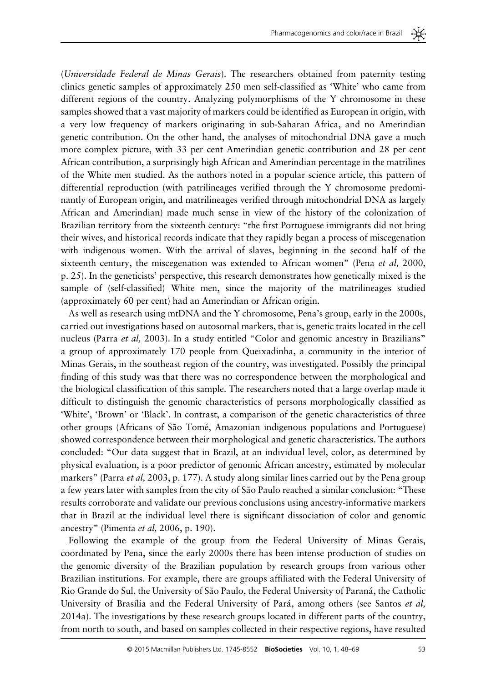(Universidade Federal de Minas Gerais). The researchers obtained from paternity testing clinics genetic samples of approximately 250 men self-classified as 'White' who came from different regions of the country. Analyzing polymorphisms of the Y chromosome in these samples showed that a vast majority of markers could be identified as European in origin, with a very low frequency of markers originating in sub-Saharan Africa, and no Amerindian genetic contribution. On the other hand, the analyses of mitochondrial DNA gave a much more complex picture, with 33 per cent Amerindian genetic contribution and 28 per cent African contribution, a surprisingly high African and Amerindian percentage in the matrilines of the White men studied. As the authors noted in a popular science article, this pattern of differential reproduction (with patrilineages verified through the Y chromosome predominantly of European origin, and matrilineages verified through mitochondrial DNA as largely African and Amerindian) made much sense in view of the history of the colonization of Brazilian territory from the sixteenth century: "the first Portuguese immigrants did not bring their wives, and historical records indicate that they rapidly began a process of miscegenation with indigenous women. With the arrival of slaves, beginning in the second half of the sixteenth century, the miscegenation was extended to African women" (Pena [et al,](#page-20-0) 2000, p. 25). In the geneticists' perspective, this research demonstrates how genetically mixed is the sample of (self-classified) White men, since the majority of the matrilineages studied (approximately 60 per cent) had an Amerindian or African origin.

As well as research using mtDNA and the Y chromosome, Pena's group, early in the 2000s, carried out investigations based on autosomal markers, that is, genetic traits located in the cell nucleus ([Parra](#page-20-0) *et al*, 2003). In a study entitled "Color and genomic ancestry in Brazilians" a group of approximately 170 people from Queixadinha, a community in the interior of Minas Gerais, in the southeast region of the country, was investigated. Possibly the principal finding of this study was that there was no correspondence between the morphological and the biological classification of this sample. The researchers noted that a large overlap made it difficult to distinguish the genomic characteristics of persons morphologically classified as 'White', 'Brown' or 'Black'. In contrast, a comparison of the genetic characteristics of three other groups (Africans of São Tomé, Amazonian indigenous populations and Portuguese) showed correspondence between their morphological and genetic characteristics. The authors concluded: "Our data suggest that in Brazil, at an individual level, color, as determined by physical evaluation, is a poor predictor of genomic African ancestry, estimated by molecular markers" ([Parra](#page-20-0) *et al*, 2003, p. 177). A study along similar lines carried out by the Pena group a few years later with samples from the city of São Paulo reached a similar conclusion: "These results corroborate and validate our previous conclusions using ancestry-informative markers that in Brazil at the individual level there is significant dissociation of color and genomic ancestry" [\(Pimenta](#page-20-0) et al, 2006, p. 190).

Following the example of the group from the Federal University of Minas Gerais, coordinated by Pena, since the early 2000s there has been intense production of studies on the genomic diversity of the Brazilian population by research groups from various other Brazilian institutions. For example, there are groups affiliated with the Federal University of Rio Grande do Sul, the University of São Paulo, the Federal University of Paraná, the Catholic University of Brasília and the Federal University of Pará, among others (see [Santos](#page-20-0) et al, [2014a\)](#page-20-0). The investigations by these research groups located in different parts of the country, from north to south, and based on samples collected in their respective regions, have resulted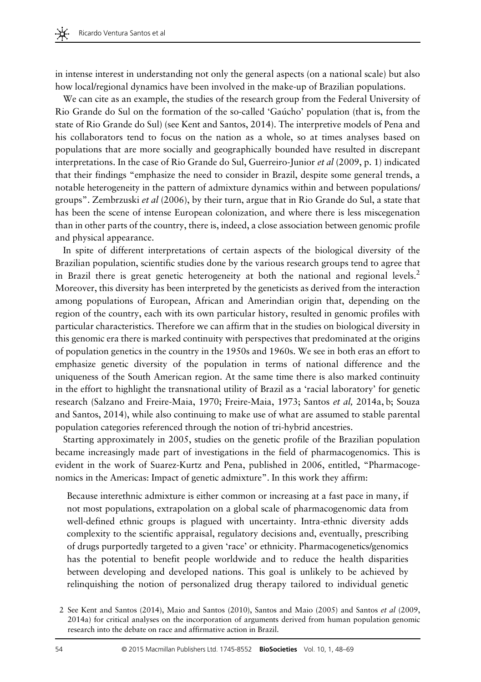in intense interest in understanding not only the general aspects (on a national scale) but also how local/regional dynamics have been involved in the make-up of Brazilian populations.

We can cite as an example, the studies of the research group from the Federal University of Rio Grande do Sul on the formation of the so-called 'Gaúcho' population (that is, from the state of Rio Grande do Sul) (see [Kent and Santos, 2014\)](#page-19-0). The interpretive models of Pena and his collaborators tend to focus on the nation as a whole, so at times analyses based on populations that are more socially and geographically bounded have resulted in discrepant interpretations. In the case of Rio Grande do Sul, [Guerreiro-Junior](#page-19-0) et al (2009, p. 1) indicated that their findings "emphasize the need to consider in Brazil, despite some general trends, a notable heterogeneity in the pattern of admixture dynamics within and between populations/ groups". [Zembrzuski](#page-21-0) et al (2006), by their turn, argue that in Rio Grande do Sul, a state that has been the scene of intense European colonization, and where there is less miscegenation than in other parts of the country, there is, indeed, a close association between genomic profile and physical appearance.

In spite of different interpretations of certain aspects of the biological diversity of the Brazilian population, scientific studies done by the various research groups tend to agree that in Brazil there is great genetic heterogeneity at both the national and regional levels.<sup>2</sup> Moreover, this diversity has been interpreted by the geneticists as derived from the interaction among populations of European, African and Amerindian origin that, depending on the region of the country, each with its own particular history, resulted in genomic profiles with particular characteristics. Therefore we can affirm that in the studies on biological diversity in this genomic era there is marked continuity with perspectives that predominated at the origins of population genetics in the country in the 1950s and 1960s. We see in both eras an effort to emphasize genetic diversity of the population in terms of national difference and the uniqueness of the South American region. At the same time there is also marked continuity in the effort to highlight the transnational utility of Brazil as a 'racial laboratory' for genetic research [\(Salzano and Freire-Maia, 1970;](#page-20-0) [Freire-Maia, 1973;](#page-19-0) Santos et al, [2014a, b;](#page-20-0) [Souza](#page-21-0) [and Santos, 2014](#page-21-0)), while also continuing to make use of what are assumed to stable parental population categories referenced through the notion of tri-hybrid ancestries.

Starting approximately in 2005, studies on the genetic profile of the Brazilian population became increasingly made part of investigations in the field of pharmacogenomics. This is evident in the work of Suarez-Kurtz and Pena, published in 2006, entitled, "Pharmacogenomics in the Americas: Impact of genetic admixture". In this work they affirm:

Because interethnic admixture is either common or increasing at a fast pace in many, if not most populations, extrapolation on a global scale of pharmacogenomic data from well-defined ethnic groups is plagued with uncertainty. Intra-ethnic diversity adds complexity to the scientific appraisal, regulatory decisions and, eventually, prescribing of drugs purportedly targeted to a given 'race' or ethnicity. Pharmacogenetics/genomics has the potential to benefit people worldwide and to reduce the health disparities between developing and developed nations. This goal is unlikely to be achieved by relinquishing the notion of personalized drug therapy tailored to individual genetic

<sup>2</sup> See [Kent and Santos \(2014\)](#page-19-0), [Maio and Santos \(2010\)](#page-20-0), [Santos and Maio \(2005\)](#page-20-0) and [Santos](#page-20-0) et al (2009, [2014a\)](#page-20-0) for critical analyses on the incorporation of arguments derived from human population genomic research into the debate on race and affirmative action in Brazil.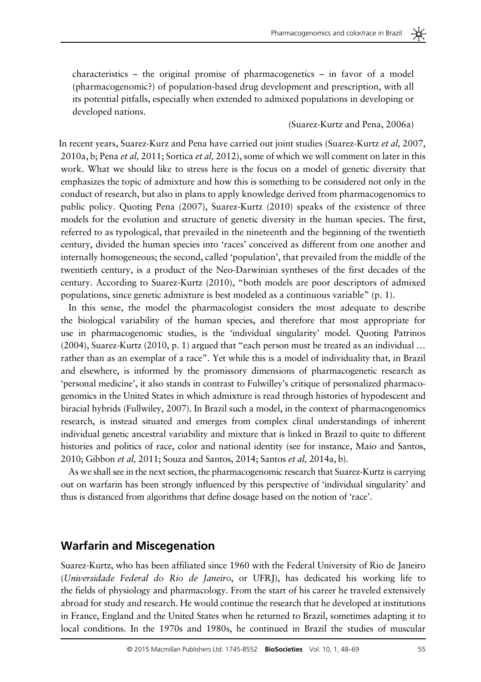characteristics – the original promise of pharmacogenetics – in favor of a model (pharmacogenomic?) of population-based drug development and prescription, with all its potential pitfalls, especially when extended to admixed populations in developing or developed nations.

#### ([Suarez-Kurtz and Pena, 2006a\)](#page-21-0)

In recent years, Suarez-Kurz and Pena have carried out joint studies [\(Suarez-Kurtz](#page-21-0) et al, 2007, [2010a, b;](#page-21-0) Pena *et al*, [2011;](#page-20-0) [Sortica](#page-21-0) *et al*, 2012), some of which we will comment on later in this work. What we should like to stress here is the focus on a model of genetic diversity that emphasizes the topic of admixture and how this is something to be considered not only in the conduct of research, but also in plans to apply knowledge derived from pharmacogenomics to public policy. Quoting [Pena \(2007\)](#page-20-0), [Suarez-Kurtz \(2010\)](#page-21-0) speaks of the existence of three models for the evolution and structure of genetic diversity in the human species. The first, referred to as typological, that prevailed in the nineteenth and the beginning of the twentieth century, divided the human species into 'races' conceived as different from one another and internally homogeneous; the second, called 'population', that prevailed from the middle of the twentieth century, is a product of the Neo-Darwinian syntheses of the first decades of the century. According to [Suarez-Kurtz \(2010\)](#page-21-0), "both models are poor descriptors of admixed populations, since genetic admixture is best modeled as a continuous variable" (p. 1).

In this sense, the model the pharmacologist considers the most adequate to describe the biological variability of the human species, and therefore that most appropriate for use in pharmacogenomic studies, is the 'individual singularity' model. Quoting [Patrinos](#page-20-0) [\(2004\),](#page-20-0) [Suarez-Kurtz \(2010](#page-21-0), p. 1) argued that "each person must be treated as an individual … rather than as an exemplar of a race". Yet while this is a model of individuality that, in Brazil and elsewhere, is informed by the promissory dimensions of pharmacogenetic research as 'personal medicine', it also stands in contrast to Fulwilley's critique of personalized pharmacogenomics in the United States in which admixture is read through histories of hypodescent and biracial hybrids [\(Fullwiley, 2007](#page-19-0)). In Brazil such a model, in the context of pharmacogenomics research, is instead situated and emerges from complex clinal understandings of inherent individual genetic ancestral variability and mixture that is linked in Brazil to quite to different histories and politics of race, color and national identity (see for instance, [Maio and Santos,](#page-20-0) [2010;](#page-20-0) [Gibbon](#page-19-0) et al, 2011; [Souza and Santos, 2014](#page-21-0); Santos et al, [2014a, b\)](#page-20-0).

As we shall see in the next section, the pharmacogenomic research that Suarez-Kurtz is carrying out on warfarin has been strongly influenced by this perspective of 'individual singularity' and thus is distanced from algorithms that define dosage based on the notion of 'race'.

#### Warfarin and Miscegenation

Suarez-Kurtz, who has been affiliated since 1960 with the Federal University of Rio de Janeiro (Universidade Federal do Rio de Janeiro, or UFRJ), has dedicated his working life to the fields of physiology and pharmacology. From the start of his career he traveled extensively abroad for study and research. He would continue the research that he developed at institutions in France, England and the United States when he returned to Brazil, sometimes adapting it to local conditions. In the 1970s and 1980s, he continued in Brazil the studies of muscular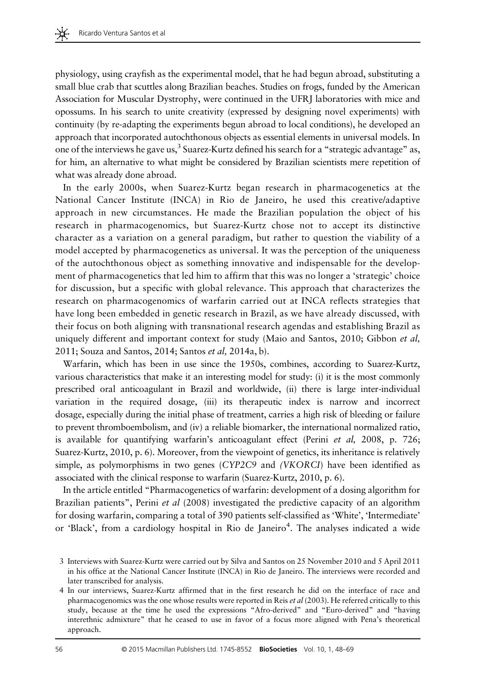physiology, using crayfish as the experimental model, that he had begun abroad, substituting a small blue crab that scuttles along Brazilian beaches. Studies on frogs, funded by the American Association for Muscular Dystrophy, were continued in the UFRJ laboratories with mice and opossums. In his search to unite creativity (expressed by designing novel experiments) with continuity (by re-adapting the experiments begun abroad to local conditions), he developed an approach that incorporated autochthonous objects as essential elements in universal models. In one of the interviews he gave us,<sup>3</sup> Suarez-Kurtz defined his search for a "strategic advantage" as, for him, an alternative to what might be considered by Brazilian scientists mere repetition of what was already done abroad.

In the early 2000s, when Suarez-Kurtz began research in pharmacogenetics at the National Cancer Institute (INCA) in Rio de Janeiro, he used this creative/adaptive approach in new circumstances. He made the Brazilian population the object of his research in pharmacogenomics, but Suarez-Kurtz chose not to accept its distinctive character as a variation on a general paradigm, but rather to question the viability of a model accepted by pharmacogenetics as universal. It was the perception of the uniqueness of the autochthonous object as something innovative and indispensable for the development of pharmacogenetics that led him to affirm that this was no longer a 'strategic' choice for discussion, but a specific with global relevance. This approach that characterizes the research on pharmacogenomics of warfarin carried out at INCA reflects strategies that have long been embedded in genetic research in Brazil, as we have already discussed, with their focus on both aligning with transnational research agendas and establishing Brazil as uniquely different and important context for study ([Maio and Santos, 2010](#page-20-0); [Gibbon](#page-19-0) *et al*, [2011;](#page-19-0) [Souza and Santos, 2014](#page-21-0); Santos et al, [2014a, b\)](#page-20-0).

Warfarin, which has been in use since the 1950s, combines, according to Suarez-Kurtz, various characteristics that make it an interesting model for study: (i) it is the most commonly prescribed oral anticoagulant in Brazil and worldwide, (ii) there is large inter-individual variation in the required dosage, (iii) its therapeutic index is narrow and incorrect dosage, especially during the initial phase of treatment, carries a high risk of bleeding or failure to prevent thromboembolism, and (iv) a reliable biomarker, the international normalized ratio, is available for quantifying warfarin's anticoagulant effect ([Perini](#page-20-0) et al, 2008, p. 726; [Suarez-Kurtz, 2010](#page-21-0), p. 6). Moreover, from the viewpoint of genetics, its inheritance is relatively simple, as polymorphisms in two genes (CYP2C9 and (VKORCI) have been identified as associated with the clinical response to warfarin [\(Suarez-Kurtz, 2010,](#page-21-0) p. 6).

In the article entitled "Pharmacogenetics of warfarin: development of a dosing algorithm for Brazilian patients", Perini *et al*  $(2008)$  investigated the predictive capacity of an algorithm for dosing warfarin, comparing a total of 390 patients self-classified as 'White', 'Intermediate' or 'Black', from a cardiology hospital in Rio de Janeiro<sup>4</sup>. The analyses indicated a wide

<sup>3</sup> Interviews with Suarez-Kurtz were carried out by Silva and Santos on 25 November 2010 and 5 April 2011 in his office at the National Cancer Institute (INCA) in Rio de Janeiro. The interviews were recorded and later transcribed for analysis.

<sup>4</sup> In our interviews, Suarez-Kurtz affirmed that in the first research he did on the interface of race and pharmacogenomics was the one whose results were reported in Reis et al [\(2003\)](#page-20-0). He referred critically to this study, because at the time he used the expressions "Afro-derived" and "Euro-derived" and "having interethnic admixture" that he ceased to use in favor of a focus more aligned with Pena's theoretical approach.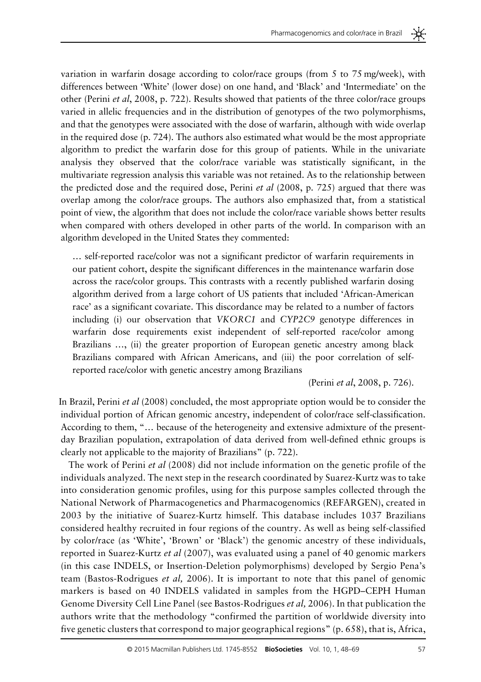variation in warfarin dosage according to color/race groups (from  $5$  to  $75$  mg/week), with differences between 'White' (lower dose) on one hand, and 'Black' and 'Intermediate' on the other (Perini *et al*, 2008, p. 722). Results showed that patients of the three color/race groups varied in allelic frequencies and in the distribution of genotypes of the two polymorphisms, and that the genotypes were associated with the dose of warfarin, although with wide overlap in the required dose (p. 724). The authors also estimated what would be the most appropriate algorithm to predict the warfarin dose for this group of patients. While in the univariate analysis they observed that the color/race variable was statistically significant, in the multivariate regression analysis this variable was not retained. As to the relationship between the predicted dose and the required dose, Perini et al  $(2008, p. 725)$  $(2008, p. 725)$  argued that there was overlap among the color/race groups. The authors also emphasized that, from a statistical point of view, the algorithm that does not include the color/race variable shows better results when compared with others developed in other parts of the world. In comparison with an algorithm developed in the United States they commented:

… self-reported race/color was not a significant predictor of warfarin requirements in our patient cohort, despite the significant differences in the maintenance warfarin dose across the race/color groups. This contrasts with a recently published warfarin dosing algorithm derived from a large cohort of US patients that included 'African-American race' as a significant covariate. This discordance may be related to a number of factors including (i) our observation that VKORC1 and CYP2C9 genotype differences in warfarin dose requirements exist independent of self-reported race/color among Brazilians …, (ii) the greater proportion of European genetic ancestry among black Brazilians compared with African Americans, and (iii) the poor correlation of selfreported race/color with genetic ancestry among Brazilians

(Perini et al[, 2008](#page-20-0), p. 726).

In Brazil, Perini *et al* [\(2008\)](#page-20-0) concluded, the most appropriate option would be to consider the individual portion of African genomic ancestry, independent of color/race self-classification. According to them, "… because of the heterogeneity and extensive admixture of the presentday Brazilian population, extrapolation of data derived from well-defined ethnic groups is clearly not applicable to the majority of Brazilians" (p. 722).

The work of Perini *et al* [\(2008\)](#page-20-0) did not include information on the genetic profile of the individuals analyzed. The next step in the research coordinated by Suarez-Kurtz was to take into consideration genomic profiles, using for this purpose samples collected through the National Network of Pharmacogenetics and Pharmacogenomics (REFARGEN), created in 2003 by the initiative of Suarez-Kurtz himself. This database includes 1037 Brazilians considered healthy recruited in four regions of the country. As well as being self-classified by color/race (as 'White', 'Brown' or 'Black') the genomic ancestry of these individuals, reported in [Suarez-Kurtz](#page-21-0) et al (2007), was evaluated using a panel of 40 genomic markers (in this case INDELS, or Insertion-Deletion polymorphisms) developed by Sergio Pena's team ([Bastos-Rodrigues](#page-18-0) *et al*, 2006). It is important to note that this panel of genomic markers is based on 40 INDELS validated in samples from the HGPD–CEPH Human Genome Diversity Cell Line Panel (see [Bastos-Rodrigues](#page-18-0) et al, 2006). In that publication the authors write that the methodology "confirmed the partition of worldwide diversity into five genetic clusters that correspond to major geographical regions" (p. 658), that is, Africa,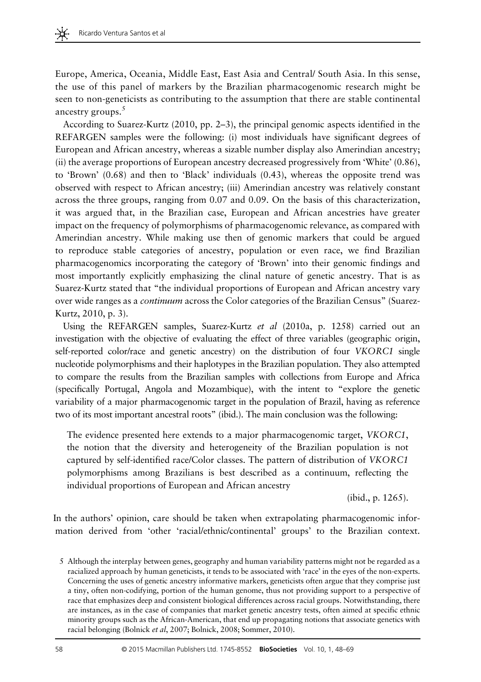Europe, America, Oceania, Middle East, East Asia and Central/ South Asia. In this sense, the use of this panel of markers by the Brazilian pharmacogenomic research might be seen to non-geneticists as contributing to the assumption that there are stable continental ancestry groups.<sup>5</sup>

According to [Suarez-Kurtz \(2010,](#page-21-0) pp. 2–3), the principal genomic aspects identified in the REFARGEN samples were the following: (i) most individuals have significant degrees of European and African ancestry, whereas a sizable number display also Amerindian ancestry; (ii) the average proportions of European ancestry decreased progressively from 'White' (0.86), to 'Brown' (0.68) and then to 'Black' individuals (0.43), whereas the opposite trend was observed with respect to African ancestry; (iii) Amerindian ancestry was relatively constant across the three groups, ranging from 0.07 and 0.09. On the basis of this characterization, it was argued that, in the Brazilian case, European and African ancestries have greater impact on the frequency of polymorphisms of pharmacogenomic relevance, as compared with Amerindian ancestry. While making use then of genomic markers that could be argued to reproduce stable categories of ancestry, population or even race, we find Brazilian pharmacogenomics incorporating the category of 'Brown' into their genomic findings and most importantly explicitly emphasizing the clinal nature of genetic ancestry. That is as Suarez-Kurtz stated that "the individual proportions of European and African ancestry vary over wide ranges as a *continuum* across the Color categories of the Brazilian Census" [\(Suarez-](#page-21-0)[Kurtz, 2010](#page-21-0), p. 3).

Using the REFARGEN samples, [Suarez-Kurtz](#page-21-0) et al (2010a, p. 1258) carried out an investigation with the objective of evaluating the effect of three variables (geographic origin, self-reported color/race and genetic ancestry) on the distribution of four VKORC1 single nucleotide polymorphisms and their haplotypes in the Brazilian population. They also attempted to compare the results from the Brazilian samples with collections from Europe and Africa (specifically Portugal, Angola and Mozambique), with the intent to "explore the genetic variability of a major pharmacogenomic target in the population of Brazil, having as reference two of its most important ancestral roots" (ibid.). The main conclusion was the following:

The evidence presented here extends to a major pharmacogenomic target, VKORC1, the notion that the diversity and heterogeneity of the Brazilian population is not captured by self-identified race/Color classes. The pattern of distribution of VKORC1 polymorphisms among Brazilians is best described as a continuum, reflecting the individual proportions of European and African ancestry

(ibid., p. 1265).

In the authors' opinion, care should be taken when extrapolating pharmacogenomic information derived from 'other 'racial/ethnic/continental' groups' to the Brazilian context.

<sup>5</sup> Although the interplay between genes, geography and human variability patterns might not be regarded as a racialized approach by human geneticists, it tends to be associated with 'race' in the eyes of the non-experts. Concerning the uses of genetic ancestry informative markers, geneticists often argue that they comprise just a tiny, often non-codifying, portion of the human genome, thus not providing support to a perspective of race that emphasizes deep and consistent biological differences across racial groups. Notwithstanding, there are instances, as in the case of companies that market genetic ancestry tests, often aimed at specific ethnic minority groups such as the African-American, that end up propagating notions that associate genetics with racial belonging [\(Bolnick](#page-19-0) et al, 2007; [Bolnick, 2008;](#page-19-0) [Sommer, 2010\)](#page-21-0).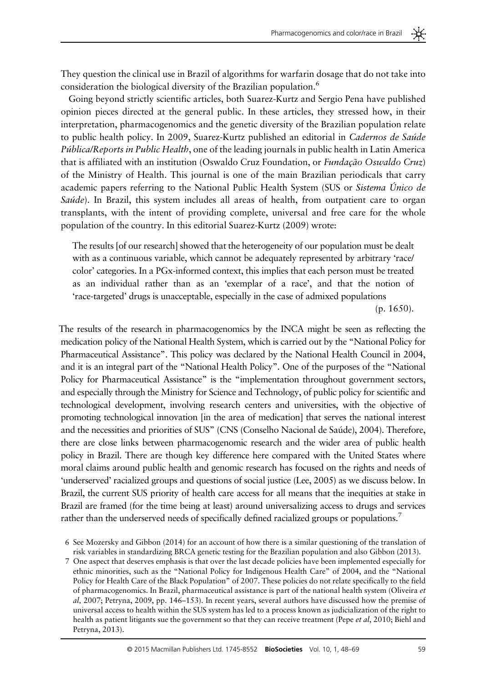They question the clinical use in Brazil of algorithms for warfarin dosage that do not take into consideration the biological diversity of the Brazilian population.<sup>6</sup>

Going beyond strictly scientific articles, both Suarez-Kurtz and Sergio Pena have published opinion pieces directed at the general public. In these articles, they stressed how, in their interpretation, pharmacogenomics and the genetic diversity of the Brazilian population relate to public health policy. In 2009, Suarez-Kurtz published an editorial in Cadernos de Saúde Pública/Reports in Public Health, one of the leading journals in public health in Latin America that is affiliated with an institution (Oswaldo Cruz Foundation, or Fundação Oswaldo Cruz) of the Ministry of Health. This journal is one of the main Brazilian periodicals that carry academic papers referring to the National Public Health System (SUS or Sistema Único de Saúde). In Brazil, this system includes all areas of health, from outpatient care to organ transplants, with the intent of providing complete, universal and free care for the whole population of the country. In this editorial [Suarez-Kurtz \(2009\)](#page-21-0) wrote:

The results [of our research] showed that the heterogeneity of our population must be dealt with as a continuous variable, which cannot be adequately represented by arbitrary 'race/ color' categories. In a PGx-informed context, this implies that each person must be treated as an individual rather than as an 'exemplar of a race', and that the notion of 'race-targeted' drugs is unacceptable, especially in the case of admixed populations

(p. 1650).

The results of the research in pharmacogenomics by the INCA might be seen as reflecting the medication policy of the National Health System, which is carried out by the "National Policy for Pharmaceutical Assistance". This policy was declared by the National Health Council in 2004, and it is an integral part of the "National Health Policy". One of the purposes of the "National Policy for Pharmaceutical Assistance" is the "implementation throughout government sectors, and especially through the Ministry for Science and Technology, of public policy for scientific and technological development, involving research centers and universities, with the objective of promoting technological innovation [in the area of medication] that serves the national interest and the necessities and priorities of SUS" [\(CNS \(Conselho Nacional de](#page-19-0) Saúde), 2004). Therefore, there are close links between pharmacogenomic research and the wider area of public health policy in Brazil. There are though key difference here compared with the United States where moral claims around public health and genomic research has focused on the rights and needs of 'underserved' racialized groups and questions of social justice ([Lee, 2005\)](#page-19-0) as we discuss below. In Brazil, the current SUS priority of health care access for all means that the inequities at stake in Brazil are framed (for the time being at least) around universalizing access to drugs and services rather than the underserved needs of specifically defined racialized groups or populations.<sup>7</sup>

<sup>6</sup> See [Mozersky and Gibbon \(2014\)](#page-20-0) for an account of how there is a similar questioning of the translation of risk variables in standardizing BRCA genetic testing for the Brazilian population and also [Gibbon \(2013\).](#page-19-0)

<sup>7</sup> One aspect that deserves emphasis is that over the last decade policies have been implemented especially for ethnic minorities, such as the "National Policy for Indigenous Health Care" of 2004, and the "National Policy for Health Care of the Black Population" of 2007. These policies do not relate specifically to the field of pharmacogenomics. In Brazil, pharmaceutical assistance is part of the national health system ([Oliveira](#page-20-0) et al, [2007](#page-20-0); [Petryna, 2009,](#page-20-0) pp. 146–153). In recent years, several authors have discussed how the premise of universal access to health within the SUS system has led to a process known as judicialization of the right to health as patient litigants sue the government so that they can receive treatment (Pepe *et al.* 2010; [Biehl and](#page-18-0) [Petryna, 2013\)](#page-18-0).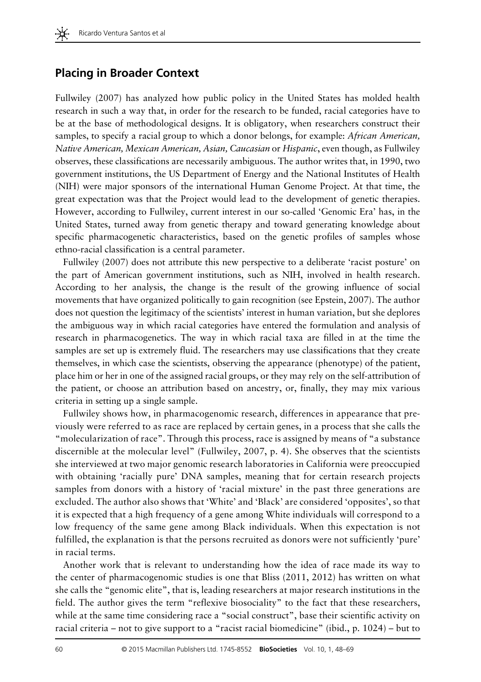### Placing in Broader Context

[Fullwiley \(2007\)](#page-19-0) has analyzed how public policy in the United States has molded health research in such a way that, in order for the research to be funded, racial categories have to be at the base of methodological designs. It is obligatory, when researchers construct their samples, to specify a racial group to which a donor belongs, for example: African American, Native American, Mexican American, Asian, Caucasian or Hispanic, even though, as Fullwiley observes, these classifications are necessarily ambiguous. The author writes that, in 1990, two government institutions, the US Department of Energy and the National Institutes of Health (NIH) were major sponsors of the international Human Genome Project. At that time, the great expectation was that the Project would lead to the development of genetic therapies. However, according to Fullwiley, current interest in our so-called 'Genomic Era' has, in the United States, turned away from genetic therapy and toward generating knowledge about specific pharmacogenetic characteristics, based on the genetic profiles of samples whose ethno-racial classification is a central parameter.

[Fullwiley \(2007\)](#page-19-0) does not attribute this new perspective to a deliberate 'racist posture' on the part of American government institutions, such as NIH, involved in health research. According to her analysis, the change is the result of the growing influence of social movements that have organized politically to gain recognition (see [Epstein, 2007](#page-19-0)). The author does not question the legitimacy of the scientists' interest in human variation, but she deplores the ambiguous way in which racial categories have entered the formulation and analysis of research in pharmacogenetics. The way in which racial taxa are filled in at the time the samples are set up is extremely fluid. The researchers may use classifications that they create themselves, in which case the scientists, observing the appearance (phenotype) of the patient, place him or her in one of the assigned racial groups, or they may rely on the self-attribution of the patient, or choose an attribution based on ancestry, or, finally, they may mix various criteria in setting up a single sample.

Fullwiley shows how, in pharmacogenomic research, differences in appearance that previously were referred to as race are replaced by certain genes, in a process that she calls the "molecularization of race". Through this process, race is assigned by means of "a substance discernible at the molecular level" ([Fullwiley, 2007](#page-19-0), p. 4). She observes that the scientists she interviewed at two major genomic research laboratories in California were preoccupied with obtaining 'racially pure' DNA samples, meaning that for certain research projects samples from donors with a history of 'racial mixture' in the past three generations are excluded. The author also shows that 'White' and 'Black' are considered 'opposites', so that it is expected that a high frequency of a gene among White individuals will correspond to a low frequency of the same gene among Black individuals. When this expectation is not fulfilled, the explanation is that the persons recruited as donors were not sufficiently 'pure' in racial terms.

Another work that is relevant to understanding how the idea of race made its way to the center of pharmacogenomic studies is one that [Bliss \(2011, 2012\)](#page-19-0) has written on what she calls the "genomic elite", that is, leading researchers at major research institutions in the field. The author gives the term "reflexive biosociality" to the fact that these researchers, while at the same time considering race a "social construct", base their scientific activity on racial criteria – not to give support to a "racist racial biomedicine" (ibid., p. 1024) – but to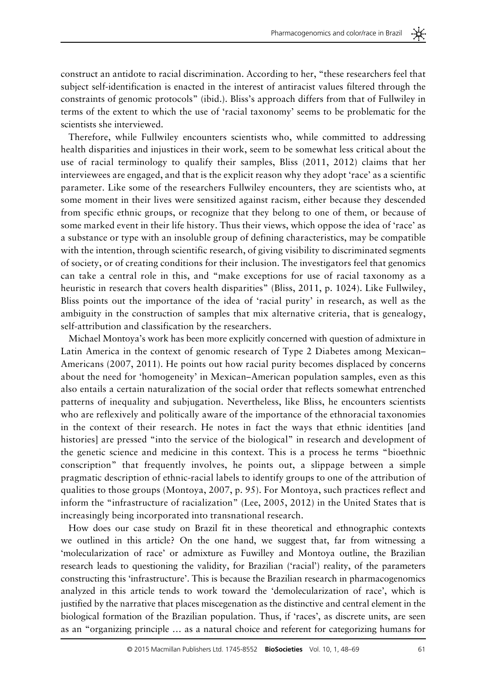construct an antidote to racial discrimination. According to her, "these researchers feel that subject self-identification is enacted in the interest of antiracist values filtered through the constraints of genomic protocols" (ibid.). Bliss's approach differs from that of Fullwiley in terms of the extent to which the use of 'racial taxonomy' seems to be problematic for the scientists she interviewed.

Therefore, while Fullwiley encounters scientists who, while committed to addressing health disparities and injustices in their work, seem to be somewhat less critical about the use of racial terminology to qualify their samples, [Bliss \(2011, 2012\)](#page-19-0) claims that her interviewees are engaged, and that is the explicit reason why they adopt 'race' as a scientific parameter. Like some of the researchers Fullwiley encounters, they are scientists who, at some moment in their lives were sensitized against racism, either because they descended from specific ethnic groups, or recognize that they belong to one of them, or because of some marked event in their life history. Thus their views, which oppose the idea of 'race' as a substance or type with an insoluble group of defining characteristics, may be compatible with the intention, through scientific research, of giving visibility to discriminated segments of society, or of creating conditions for their inclusion. The investigators feel that genomics can take a central role in this, and "make exceptions for use of racial taxonomy as a heuristic in research that covers health disparities" [\(Bliss, 2011](#page-19-0), p. 1024). Like Fullwiley, Bliss points out the importance of the idea of 'racial purity' in research, as well as the ambiguity in the construction of samples that mix alternative criteria, that is genealogy, self-attribution and classification by the researchers.

Michael Montoya's work has been more explicitly concerned with question of admixture in Latin America in the context of genomic research of Type 2 Diabetes among Mexican– Americans (2007, 2011). He points out how racial purity becomes displaced by concerns about the need for 'homogeneity' in Mexican–American population samples, even as this also entails a certain naturalization of the social order that reflects somewhat entrenched patterns of inequality and subjugation. Nevertheless, like Bliss, he encounters scientists who are reflexively and politically aware of the importance of the ethnoracial taxonomies in the context of their research. He notes in fact the ways that ethnic identities [and histories] are pressed "into the service of the biological" in research and development of the genetic science and medicine in this context. This is a process he terms "bioethnic conscription" that frequently involves, he points out, a slippage between a simple pragmatic description of ethnic-racial labels to identify groups to one of the attribution of qualities to those groups ([Montoya, 2007,](#page-20-0) p. 95). For Montoya, such practices reflect and inform the "infrastructure of racialization" [\(Lee, 2005, 2012](#page-19-0)) in the United States that is increasingly being incorporated into transnational research.

How does our case study on Brazil fit in these theoretical and ethnographic contexts we outlined in this article? On the one hand, we suggest that, far from witnessing a 'molecularization of race' or admixture as Fuwilley and Montoya outline, the Brazilian research leads to questioning the validity, for Brazilian ('racial') reality, of the parameters constructing this 'infrastructure'. This is because the Brazilian research in pharmacogenomics analyzed in this article tends to work toward the 'demolecularization of race', which is justified by the narrative that places miscegenation as the distinctive and central element in the biological formation of the Brazilian population. Thus, if 'races', as discrete units, are seen as an "organizing principle … as a natural choice and referent for categorizing humans for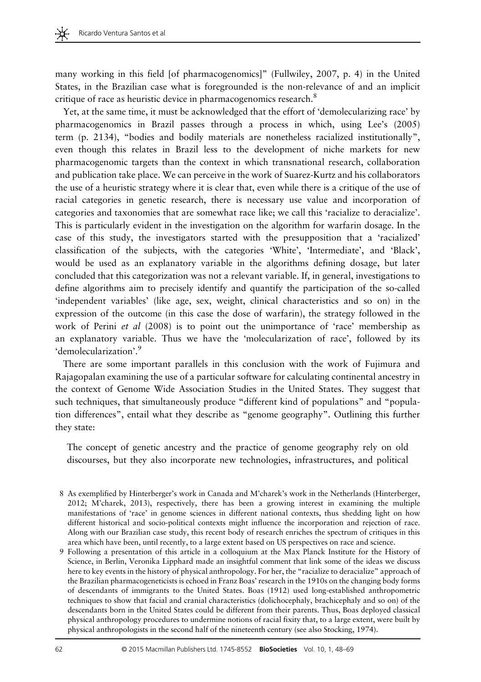many working in this field [of pharmacogenomics]" [\(Fullwiley, 2007](#page-19-0), p. 4) in the United States, in the Brazilian case what is foregrounded is the non-relevance of and an implicit critique of race as heuristic device in pharmacogenomics research.<sup>8</sup>

Yet, at the same time, it must be acknowledged that the effort of 'demolecularizing race' by pharmacogenomics in Brazil passes through a process in which, using Lee'[s \(2005\)](#page-19-0) term (p. 2134), "bodies and bodily materials are nonetheless racialized institutionally", even though this relates in Brazil less to the development of niche markets for new pharmacogenomic targets than the context in which transnational research, collaboration and publication take place. We can perceive in the work of Suarez-Kurtz and his collaborators the use of a heuristic strategy where it is clear that, even while there is a critique of the use of racial categories in genetic research, there is necessary use value and incorporation of categories and taxonomies that are somewhat race like; we call this 'racialize to deracialize'. This is particularly evident in the investigation on the algorithm for warfarin dosage. In the case of this study, the investigators started with the presupposition that a 'racialized' classification of the subjects, with the categories 'White', 'Intermediate', and 'Black', would be used as an explanatory variable in the algorithms defining dosage, but later concluded that this categorization was not a relevant variable. If, in general, investigations to define algorithms aim to precisely identify and quantify the participation of the so-called 'independent variables' (like age, sex, weight, clinical characteristics and so on) in the expression of the outcome (in this case the dose of warfarin), the strategy followed in the work of Perini *et al* [\(2008\)](#page-20-0) is to point out the unimportance of 'race' membership as an explanatory variable. Thus we have the 'molecularization of race', followed by its 'demolecularization'. 9

There are some important parallels in this conclusion with the work of Fujimura and Rajagopalan examining the use of a particular software for calculating continental ancestry in the context of Genome Wide Association Studies in the United States. They suggest that such techniques, that simultaneously produce "different kind of populations" and "population differences", entail what they describe as "genome geography". Outlining this further they state:

The concept of genetic ancestry and the practice of genome geography rely on old discourses, but they also incorporate new technologies, infrastructures, and political

- 8 As exemplified by Hinterberger's work in Canada and M'charek's work in the Netherlands [\(Hinterberger,](#page-19-0) [2012;](#page-19-0) M'[charek, 2013](#page-20-0)), respectively, there has been a growing interest in examining the multiple manifestations of 'race' in genome sciences in different national contexts, thus shedding light on how different historical and socio-political contexts might influence the incorporation and rejection of race. Along with our Brazilian case study, this recent body of research enriches the spectrum of critiques in this area which have been, until recently, to a large extent based on US perspectives on race and science.
- 9 Following a presentation of this article in a colloquium at the Max Planck Institute for the History of Science, in Berlin, Veronika Lipphard made an insightful comment that link some of the ideas we discuss here to key events in the history of physical anthropology. For her, the "racialize to deracialize" approach of the Brazilian pharmacogeneticists is echoed in Franz Boas' research in the 1910s on the changing body forms of descendants of immigrants to the United States. [Boas \(1912\)](#page-19-0) used long-established anthropometric techniques to show that facial and cranial characteristics (dolichocephaly, brachicephaly and so on) of the descendants born in the United States could be different from their parents. Thus, Boas deployed classical physical anthropology procedures to undermine notions of racial fixity that, to a large extent, were built by physical anthropologists in the second half of the nineteenth century (see also [Stocking, 1974](#page-21-0)).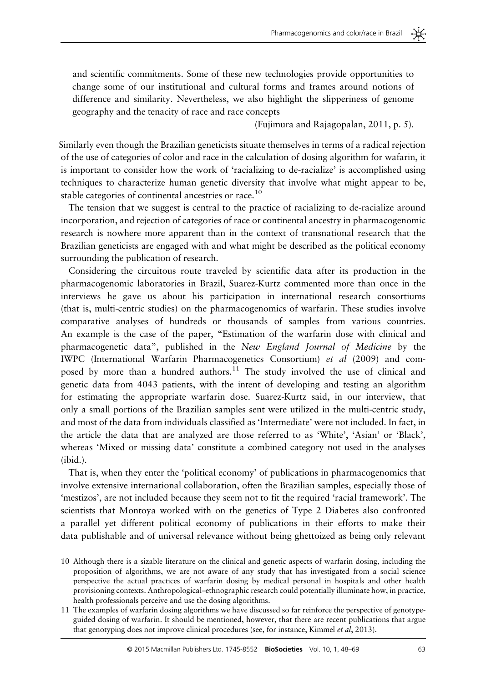and scientific commitments. Some of these new technologies provide opportunities to change some of our institutional and cultural forms and frames around notions of difference and similarity. Nevertheless, we also highlight the slipperiness of genome geography and the tenacity of race and race concepts

[\(Fujimura and Rajagopalan, 2011](#page-19-0), p. 5).

Similarly even though the Brazilian geneticists situate themselves in terms of a radical rejection of the use of categories of color and race in the calculation of dosing algorithm for wafarin, it is important to consider how the work of 'racializing to de-racialize' is accomplished using techniques to characterize human genetic diversity that involve what might appear to be, stable categories of continental ancestries or race.<sup>10</sup>

The tension that we suggest is central to the practice of racializing to de-racialize around incorporation, and rejection of categories of race or continental ancestry in pharmacogenomic research is nowhere more apparent than in the context of transnational research that the Brazilian geneticists are engaged with and what might be described as the political economy surrounding the publication of research.

Considering the circuitous route traveled by scientific data after its production in the pharmacogenomic laboratories in Brazil, Suarez-Kurtz commented more than once in the interviews he gave us about his participation in international research consortiums (that is, multi-centric studies) on the pharmacogenomics of warfarin. These studies involve comparative analyses of hundreds or thousands of samples from various countries. An example is the case of the paper, "Estimation of the warfarin dose with clinical and pharmacogenetic data", published in the New England Journal of Medicine by the [IWPC \(International Warfarin Pharmacogenetics Consortium\)](#page-19-0) et al (2009) and composed by more than a hundred authors.<sup>11</sup> The study involved the use of clinical and genetic data from 4043 patients, with the intent of developing and testing an algorithm for estimating the appropriate warfarin dose. Suarez-Kurtz said, in our interview, that only a small portions of the Brazilian samples sent were utilized in the multi-centric study, and most of the data from individuals classified as 'Intermediate' were not included. In fact, in the article the data that are analyzed are those referred to as 'White', 'Asian' or 'Black', whereas 'Mixed or missing data' constitute a combined category not used in the analyses (ibid.).

That is, when they enter the 'political economy' of publications in pharmacogenomics that involve extensive international collaboration, often the Brazilian samples, especially those of 'mestizos', are not included because they seem not to fit the required 'racial framework'. The scientists that Montoya worked with on the genetics of Type 2 Diabetes also confronted a parallel yet different political economy of publications in their efforts to make their data publishable and of universal relevance without being ghettoized as being only relevant

<sup>10</sup> Although there is a sizable literature on the clinical and genetic aspects of warfarin dosing, including the proposition of algorithms, we are not aware of any study that has investigated from a social science perspective the actual practices of warfarin dosing by medical personal in hospitals and other health provisioning contexts. Anthropological–ethnographic research could potentially illuminate how, in practice, health professionals perceive and use the dosing algorithms.

<sup>11</sup> The examples of warfarin dosing algorithms we have discussed so far reinforce the perspective of genotypeguided dosing of warfarin. It should be mentioned, however, that there are recent publications that argue that genotyping does not improve clinical procedures (see, for instance, [Kimmel](#page-19-0) et al, 2013).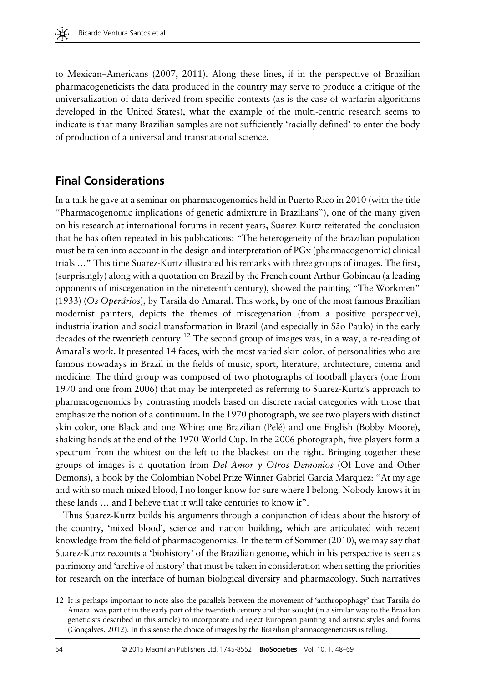to Mexican–Americans (2007, 2011). Along these lines, if in the perspective of Brazilian pharmacogeneticists the data produced in the country may serve to produce a critique of the universalization of data derived from specific contexts (as is the case of warfarin algorithms developed in the United States), what the example of the multi-centric research seems to indicate is that many Brazilian samples are not sufficiently 'racially defined' to enter the body of production of a universal and transnational science.

### Final Considerations

In a talk he gave at a seminar on pharmacogenomics held in Puerto Rico in 2010 (with the title "Pharmacogenomic implications of genetic admixture in Brazilians"), one of the many given on his research at international forums in recent years, Suarez-Kurtz reiterated the conclusion that he has often repeated in his publications: "The heterogeneity of the Brazilian population must be taken into account in the design and interpretation of PGx (pharmacogenomic) clinical trials …" This time Suarez-Kurtz illustrated his remarks with three groups of images. The first, (surprisingly) along with a quotation on Brazil by the French count Arthur Gobineau (a leading opponents of miscegenation in the nineteenth century), showed the painting "The Workmen" (1933) (Os Operários), by Tarsila do Amaral. This work, by one of the most famous Brazilian modernist painters, depicts the themes of miscegenation (from a positive perspective), industrialization and social transformation in Brazil (and especially in São Paulo) in the early decades of the twentieth century.<sup>12</sup> The second group of images was, in a way, a re-reading of Amaral's work. It presented 14 faces, with the most varied skin color, of personalities who are famous nowadays in Brazil in the fields of music, sport, literature, architecture, cinema and medicine. The third group was composed of two photographs of football players (one from 1970 and one from 2006) that may be interpreted as referring to Suarez-Kurtz's approach to pharmacogenomics by contrasting models based on discrete racial categories with those that emphasize the notion of a continuum. In the 1970 photograph, we see two players with distinct skin color, one Black and one White: one Brazilian (Pelé) and one English (Bobby Moore), shaking hands at the end of the 1970 World Cup. In the 2006 photograph, five players form a spectrum from the whitest on the left to the blackest on the right. Bringing together these groups of images is a quotation from Del Amor  $\gamma$  Otros Demonios (Of Love and Other Demons), a book by the Colombian Nobel Prize Winner Gabriel Garcia Marquez: "At my age and with so much mixed blood, I no longer know for sure where I belong. Nobody knows it in these lands … and I believe that it will take centuries to know it".

Thus Suarez-Kurtz builds his arguments through a conjunction of ideas about the history of the country, 'mixed blood', science and nation building, which are articulated with recent knowledge from the field of pharmacogenomics. In the term of [Sommer \(2010\)](#page-21-0), we may say that Suarez-Kurtz recounts a 'biohistory' of the Brazilian genome, which in his perspective is seen as patrimony and 'archive of history' that must be taken in consideration when setting the priorities for research on the interface of human biological diversity and pharmacology. Such narratives

<sup>12</sup> It is perhaps important to note also the parallels between the movement of 'anthropophagy' that Tarsila do Amaral was part of in the early part of the twentieth century and that sought (in a similar way to the Brazilian geneticists described in this article) to incorporate and reject European painting and artistic styles and forms [\(Gonçalves, 2012\)](#page-19-0). In this sense the choice of images by the Brazilian pharmacogeneticists is telling.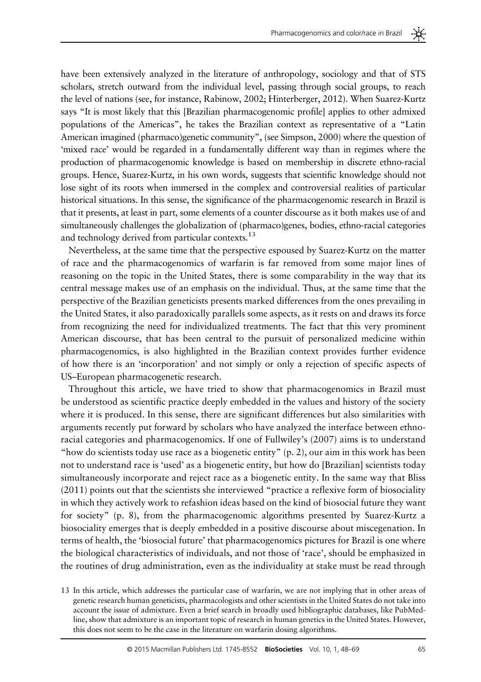have been extensively analyzed in the literature of anthropology, sociology and that of STS scholars, stretch outward from the individual level, passing through social groups, to reach the level of nations (see, for instance, [Rabinow, 2002](#page-20-0); [Hinterberger, 2012](#page-19-0)). When Suarez-Kurtz says "It is most likely that this [Brazilian pharmacogenomic profile] applies to other admixed populations of the Americas", he takes the Brazilian context as representative of a "Latin American imagined (pharmaco)genetic community", (see [Simpson, 2000\)](#page-21-0) where the question of 'mixed race' would be regarded in a fundamentally different way than in regimes where the production of pharmacogenomic knowledge is based on membership in discrete ethno-racial groups. Hence, Suarez-Kurtz, in his own words, suggests that scientific knowledge should not lose sight of its roots when immersed in the complex and controversial realities of particular historical situations. In this sense, the significance of the pharmacogenomic research in Brazil is that it presents, at least in part, some elements of a counter discourse as it both makes use of and simultaneously challenges the globalization of (pharmaco)genes, bodies, ethno-racial categories and technology derived from particular contexts.<sup>13</sup>

Nevertheless, at the same time that the perspective espoused by Suarez-Kurtz on the matter of race and the pharmacogenomics of warfarin is far removed from some major lines of reasoning on the topic in the United States, there is some comparability in the way that its central message makes use of an emphasis on the individual. Thus, at the same time that the perspective of the Brazilian geneticists presents marked differences from the ones prevailing in the United States, it also paradoxically parallels some aspects, as it rests on and draws its force from recognizing the need for individualized treatments. The fact that this very prominent American discourse, that has been central to the pursuit of personalized medicine within pharmacogenomics, is also highlighted in the Brazilian context provides further evidence of how there is an 'incorporation' and not simply or only a rejection of specific aspects of US–European pharmacogenetic research.

Throughout this article, we have tried to show that pharmacogenomics in Brazil must be understood as scientific practice deeply embedded in the values and history of the society where it is produced. In this sense, there are significant differences but also similarities with arguments recently put forward by scholars who have analyzed the interface between ethnoracial categories and pharmacogenomics. If one of [Fullwiley](#page-19-0)'s (2007) aims is to understand "how do scientists today use race as a biogenetic entity" (p. 2), our aim in this work has been not to understand race is 'used' as a biogenetic entity, but how do [Brazilian] scientists today simultaneously incorporate and reject race as a biogenetic entity. In the same way that [Bliss](#page-19-0) [\(2011\)](#page-19-0) points out that the scientists she interviewed "practice a reflexive form of biosociality in which they actively work to refashion ideas based on the kind of biosocial future they want for society" (p. 8), from the pharmacogenomic algorithms presented by Suarez-Kurtz a biosociality emerges that is deeply embedded in a positive discourse about miscegenation. In terms of health, the 'biosocial future' that pharmacogenomics pictures for Brazil is one where the biological characteristics of individuals, and not those of 'race', should be emphasized in the routines of drug administration, even as the individuality at stake must be read through

<sup>13</sup> In this article, which addresses the particular case of warfarin, we are not implying that in other areas of genetic research human geneticists, pharmacologists and other scientists in the United States do not take into account the issue of admixture. Even a brief search in broadly used bibliographic databases, like PubMedline, show that admixture is an important topic of research in human genetics in the United States. However, this does not seem to be the case in the literature on warfarin dosing algorithms.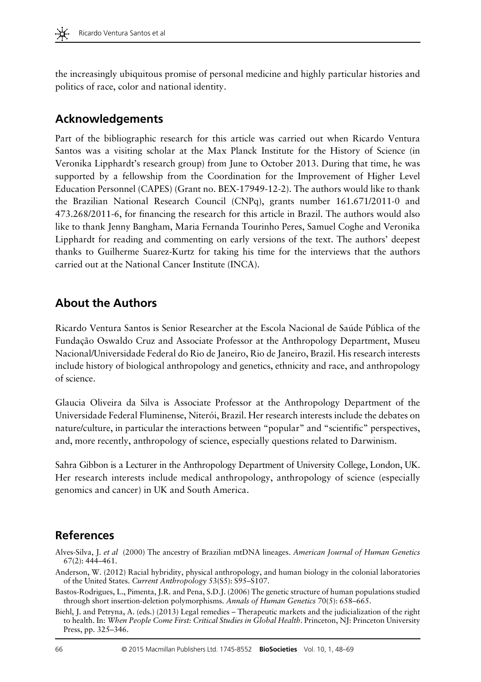<span id="page-18-0"></span>the increasingly ubiquitous promise of personal medicine and highly particular histories and politics of race, color and national identity.

# Acknowledgements

Part of the bibliographic research for this article was carried out when Ricardo Ventura Santos was a visiting scholar at the Max Planck Institute for the History of Science (in Veronika Lipphardt's research group) from June to October 2013. During that time, he was supported by a fellowship from the Coordination for the Improvement of Higher Level Education Personnel (CAPES) (Grant no. BEX-17949-12-2). The authors would like to thank the Brazilian National Research Council (CNPq), grants number 161.671/2011-0 and 473.268/2011-6, for financing the research for this article in Brazil. The authors would also like to thank Jenny Bangham, Maria Fernanda Tourinho Peres, Samuel Coghe and Veronika Lipphardt for reading and commenting on early versions of the text. The authors' deepest thanks to Guilherme Suarez-Kurtz for taking his time for the interviews that the authors carried out at the National Cancer Institute (INCA).

# About the Authors

Ricardo Ventura Santos is Senior Researcher at the Escola Nacional de Saúde Pública of the Fundação Oswaldo Cruz and Associate Professor at the Anthropology Department, Museu Nacional/Universidade Federal do Rio de Janeiro, Rio de Janeiro, Brazil. His research interests include history of biological anthropology and genetics, ethnicity and race, and anthropology of science.

Glaucia Oliveira da Silva is Associate Professor at the Anthropology Department of the Universidade Federal Fluminense, Niterói, Brazil. Her research interests include the debates on nature/culture, in particular the interactions between "popular" and "scientific" perspectives, and, more recently, anthropology of science, especially questions related to Darwinism.

Sahra Gibbon is a Lecturer in the Anthropology Department of University College, London, UK. Her research interests include medical anthropology, anthropology of science (especially genomics and cancer) in UK and South America.

# References

- Alves-Silva, J. et al (2000) The ancestry of Brazilian mtDNA lineages. American Journal of Human Genetics 67(2): 444–461.
- Anderson, W. (2012) Racial hybridity, physical anthropology, and human biology in the colonial laboratories of the United States. Current Anthropology 53(S5): S95–S107.
- Bastos-Rodrigues, L., Pimenta, J.R. and Pena, S.D.J. (2006) The genetic structure of human populations studied through short insertion-deletion polymorphisms. Annals of Human Genetics 70(5): 658–665.
- Biehl, J. and Petryna, A. (eds.) (2013) Legal remedies Therapeutic markets and the judicialization of the right to health. In: When People Come First: Critical Studies in Global Health. Princeton, NJ: Princeton University Press, pp. 325–346.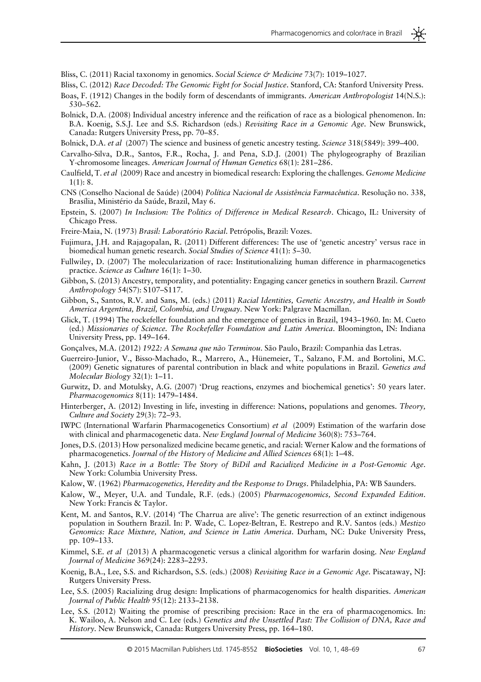<span id="page-19-0"></span>Bliss, C. (2011) Racial taxonomy in genomics. Social Science & Medicine 73(7): 1019–1027.

Bliss, C. (2012) Race Decoded: The Genomic Fight for Social Justice. Stanford, CA: Stanford University Press.

- Boas, F. (1912) Changes in the bodily form of descendants of immigrants. American Anthropologist 14(N.S.): 530–562.
- Bolnick, D.A. (2008) Individual ancestry inference and the reification of race as a biological phenomenon. In: B.A. Koenig, S.S.J. Lee and S.S. Richardson (eds.) Revisiting Race in a Genomic Age. New Brunswick, Canada: Rutgers University Press, pp. 70–85.

Bolnick, D.A. et al (2007) The science and business of genetic ancestry testing. Science 318(5849): 399-400.

- Carvalho-Silva, D.R., Santos, F.R., Rocha, J. and Pena, S.D.J. (2001) The phylogeography of Brazilian Y-chromosome lineages. American Journal of Human Genetics 68(1): 281–286.
- Caulfield, T. et al (2009) Race and ancestry in biomedical research: Exploring the challenges. Genome Medicine  $1(1): 8.$
- CNS (Conselho Nacional de Saúde) (2004) Política Nacional de Assistência Farmacêutica. Resolução no. 338, Brasília, Ministério da Saúde, Brazil, May 6.
- Epstein, S. (2007) In Inclusion: The Politics of Difference in Medical Research. Chicago, IL: University of Chicago Press.
- Freire-Maia, N. (1973) Brasil: Laboratório Racial. Petrópolis, Brazil: Vozes.
- Fujimura, J.H. and Rajagopalan, R. (2011) Different differences: The use of 'genetic ancestry' versus race in biomedical human genetic research. Social Studies of Science 41(1): 5–30.
- Fullwiley, D. (2007) The molecularization of race: Institutionalizing human difference in pharmacogenetics practice. Science as Culture 16(1): 1–30.
- Gibbon, S. (2013) Ancestry, temporality, and potentiality: Engaging cancer genetics in southern Brazil. Current Anthropology 54(S7): S107–S117.
- Gibbon, S., Santos, R.V. and Sans, M. (eds.) (2011) Racial Identities, Genetic Ancestry, and Health in South America Argentina, Brazil, Colombia, and Uruguay. New York: Palgrave Macmillan.
- Glick, T. (1994) The rockefeller foundation and the emergence of genetics in Brazil, 1943–1960. In: M. Cueto (ed.) Missionaries of Science. The Rockefeller Foundation and Latin America. Bloomington, IN: Indiana University Press, pp. 149–164.
- Gonçalves, M.A. (2012) 1922: A Semana que não Terminou. São Paulo, Brazil: Companhia das Letras.
- Guerreiro-Junior, V., Bisso-Machado, R., Marrero, A., Hünemeier, T., Salzano, F.M. and Bortolini, M.C. (2009) Genetic signatures of parental contribution in black and white populations in Brazil. Genetics and Molecular Biology 32(1): 1–11.
- Gurwitz, D. and Motulsky, A.G. (2007) 'Drug reactions, enzymes and biochemical genetics': 50 years later. Pharmacogenomics 8(11): 1479–1484.
- Hinterberger, A. (2012) Investing in life, investing in difference: Nations, populations and genomes. Theory, Culture and Society 29(3): 72–93.
- IWPC (International Warfarin Pharmacogenetics Consortium) et al (2009) Estimation of the warfarin dose with clinical and pharmacogenetic data. New England Journal of Medicine 360(8): 753–764.
- Jones, D.S. (2013) How personalized medicine became genetic, and racial: Werner Kalow and the formations of pharmacogenetics. Journal of the History of Medicine and Allied Sciences 68(1): 1–48.
- Kahn, J. (2013) Race in a Bottle: The Story of BiDil and Racialized Medicine in a Post-Genomic Age. New York: Columbia University Press.
- Kalow, W. (1962) Pharmacogenetics, Heredity and the Response to Drugs. Philadelphia, PA: WB Saunders.
- Kalow, W., Meyer, U.A. and Tundale, R.F. (eds.) (2005) Pharmacogenomics, Second Expanded Edition. New York: Francis & Taylor.
- Kent, M. and Santos, R.V. (2014) 'The Charrua are alive': The genetic resurrection of an extinct indigenous population in Southern Brazil. In: P. Wade, C. Lopez-Beltran, E. Restrepo and R.V. Santos (eds.) Mestizo Genomics: Race Mixture, Nation, and Science in Latin America. Durham, NC: Duke University Press, pp. 109–133.
- Kimmel, S.E. et al (2013) A pharmacogenetic versus a clinical algorithm for warfarin dosing. New England Journal of Medicine 369(24): 2283–2293.
- Koenig, B.A., Lee, S.S. and Richardson, S.S. (eds.) (2008) Revisiting Race in a Genomic Age. Piscataway, NJ: Rutgers University Press.
- Lee, S.S. (2005) Racializing drug design: Implications of pharmacogenomics for health disparities. American Journal of Public Health 95(12): 2133–2138.
- Lee, S.S. (2012) Waiting the promise of prescribing precision: Race in the era of pharmacogenomics. In: K. Wailoo, A. Nelson and C. Lee (eds.) Genetics and the Unsettled Past: The Collision of DNA, Race and History. New Brunswick, Canada: Rutgers University Press, pp. 164–180.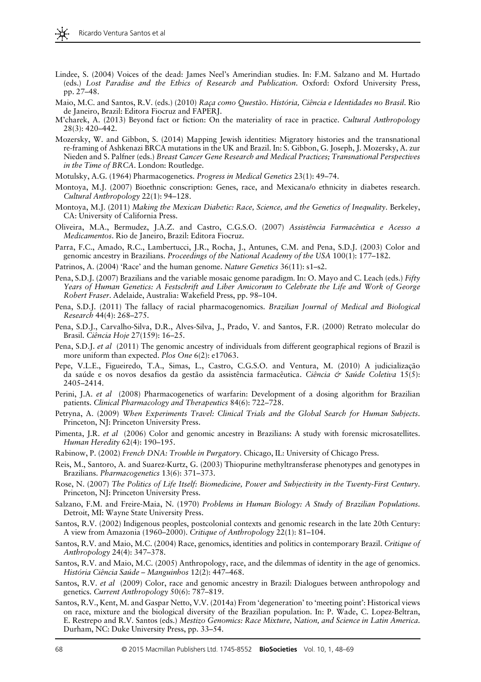- <span id="page-20-0"></span>Lindee, S. (2004) Voices of the dead: James Neel's Amerindian studies. In: F.M. Salzano and M. Hurtado (eds.) Lost Paradise and the Ethics of Research and Publication. Oxford: Oxford University Press, pp. 27–48.
- Maio, M.C. and Santos, R.V. (eds.) (2010) Raça como Questão. História, Ciência e Identidades no Brasil. Rio de Janeiro, Brazil: Editora Fiocruz and FAPERJ.
- M'charek, A. (2013) Beyond fact or fiction: On the materiality of race in practice. Cultural Anthropology 28(3): 420–442.
- Mozersky, W. and Gibbon, S. (2014) Mapping Jewish identities: Migratory histories and the transnational re-framing of Ashkenazi BRCA mutations in the UK and Brazil. In: S. Gibbon, G. Joseph, J. Mozersky, A. zur Nieden and S. Palfner (eds.) Breast Cancer Gene Research and Medical Practices; Transnational Perspectives in the Time of BRCA. London: Routledge.
- Motulsky, A.G. (1964) Pharmacogenetics. Progress in Medical Genetics 23(1): 49–74.
- Montoya, M.J. (2007) Bioethnic conscription: Genes, race, and Mexicana/o ethnicity in diabetes research. Cultural Anthropology 22(1): 94–128.
- Montoya, M.J. (2011) Making the Mexican Diabetic: Race, Science, and the Genetics of Inequality. Berkeley, CA: University of California Press.
- Oliveira, M.A., Bermudez, J.A.Z. and Castro, C.G.S.O. (2007) Assistência Farmacêutica e Acesso a Medicamentos. Rio de Janeiro, Brazil: Editora Fiocruz.
- Parra, F.C., Amado, R.C., Lambertucci, J.R., Rocha, J., Antunes, C.M. and Pena, S.D.J. (2003) Color and genomic ancestry in Brazilians. Proceedings of the National Academy of the USA 100(1): 177–182.
- Patrinos, A. (2004) 'Race' and the human genome. Nature Genetics 36(11): s1-s2.
- Pena, S.D.J. (2007) Brazilians and the variable mosaic genome paradigm. In: O. Mayo and C. Leach (eds.) Fifty Years of Human Genetics: A Festschrift and Liber Amicorum to Celebrate the Life and Work of George Robert Fraser. Adelaide, Australia: Wakefield Press, pp. 98–104.
- Pena, S.D.J. (2011) The fallacy of racial pharmacogenomics. Brazilian Journal of Medical and Biological Research 44(4): 268–275.
- Pena, S.D.J., Carvalho-Silva, D.R., Alves-Silva, J., Prado, V. and Santos, F.R. (2000) Retrato molecular do Brasil. Ciência Hoje 27(159): 16–25.
- Pena, S.D.J. et al (2011) The genomic ancestry of individuals from different geographical regions of Brazil is more uniform than expected. *Plos One* 6(2): e17063.
- Pepe, V.L.E., Figueiredo, T.A., Simas, L., Castro, C.G.S.O. and Ventura, M. (2010) A judicialização da saúde e os novos desafios da gestão da assistência farmacêutica. Ciência & Saúde Coletiva 15(5): 2405–2414.
- Perini, J.A. et al (2008) Pharmacogenetics of warfarin: Development of a dosing algorithm for Brazilian patients. Clinical Pharmacology and Therapeutics 84(6): 722–728.
- Petryna, A. (2009) When Experiments Travel: Clinical Trials and the Global Search for Human Subjects. Princeton, NJ: Princeton University Press.
- Pimenta, J.R. et al (2006) Color and genomic ancestry in Brazilians: A study with forensic microsatellites. Human Heredity 62(4): 190–195.
- Rabinow, P. (2002) French DNA: Trouble in Purgatory. Chicago, IL: University of Chicago Press.
- Reis, M., Santoro, A. and Suarez-Kurtz, G. (2003) Thiopurine methyltransferase phenotypes and genotypes in Brazilians. Pharmacogenetics 13(6): 371–373.
- Rose, N. (2007) The Politics of Life Itself: Biomedicine, Power and Subjectivity in the Twenty-First Century. Princeton, NJ: Princeton University Press.
- Salzano, F.M. and Freire-Maia, N. (1970) Problems in Human Biology: A Study of Brazilian Populations. Detroit, MI: Wayne State University Press.
- Santos, R.V. (2002) Indigenous peoples, postcolonial contexts and genomic research in the late 20th Century: A view from Amazonia (1960–2000). Critique of Anthropology 22(1): 81–104.
- Santos, R.V. and Maio, M.C. (2004) Race, genomics, identities and politics in contemporary Brazil. Critique of Anthropology 24(4): 347–378.
- Santos, R.V. and Maio, M.C. (2005) Anthropology, race, and the dilemmas of identity in the age of genomics. História Ciência Saúde – Manguinhos 12(2): 447–468.
- Santos, R.V. et al (2009) Color, race and genomic ancestry in Brazil: Dialogues between anthropology and genetics. Current Anthropology 50(6): 787–819.
- Santos, R.V., Kent, M. and Gaspar Netto, V.V. (2014a) From 'degeneration' to 'meeting point': Historical views on race, mixture and the biological diversity of the Brazilian population. In: P. Wade, C. Lopez-Beltran, E. Restrepo and R.V. Santos (eds.) Mestizo Genomics: Race Mixture, Nation, and Science in Latin America. Durham, NC: Duke University Press, pp. 33–54.